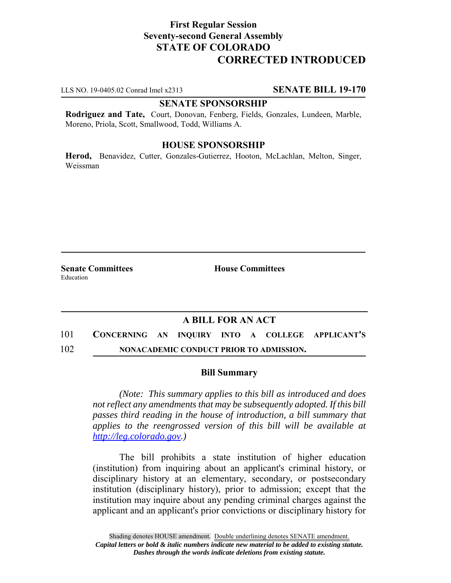# **First Regular Session Seventy-second General Assembly STATE OF COLORADO CORRECTED INTRODUCED**

LLS NO. 19-0405.02 Conrad Imel x2313 **SENATE BILL 19-170**

### **SENATE SPONSORSHIP**

**Rodriguez and Tate,** Court, Donovan, Fenberg, Fields, Gonzales, Lundeen, Marble, Moreno, Priola, Scott, Smallwood, Todd, Williams A.

### **HOUSE SPONSORSHIP**

**Herod,** Benavidez, Cutter, Gonzales-Gutierrez, Hooton, McLachlan, Melton, Singer, Weissman

**Senate Committees House Committees** Education

## **A BILL FOR AN ACT**

101 **CONCERNING AN INQUIRY INTO A COLLEGE APPLICANT'S** 102 **NONACADEMIC CONDUCT PRIOR TO ADMISSION.**

#### **Bill Summary**

*(Note: This summary applies to this bill as introduced and does not reflect any amendments that may be subsequently adopted. If this bill passes third reading in the house of introduction, a bill summary that applies to the reengrossed version of this bill will be available at http://leg.colorado.gov.)*

The bill prohibits a state institution of higher education (institution) from inquiring about an applicant's criminal history, or disciplinary history at an elementary, secondary, or postsecondary institution (disciplinary history), prior to admission; except that the institution may inquire about any pending criminal charges against the applicant and an applicant's prior convictions or disciplinary history for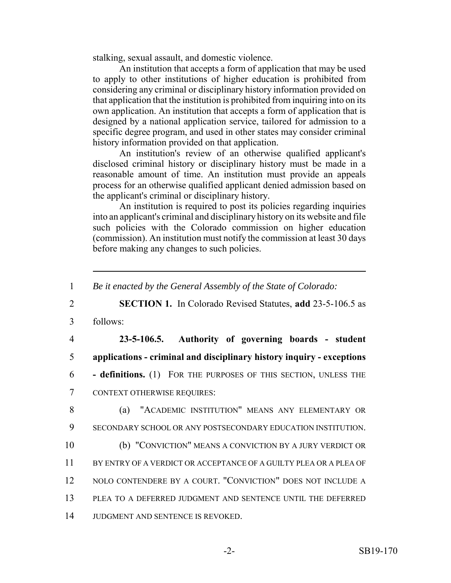stalking, sexual assault, and domestic violence.

An institution that accepts a form of application that may be used to apply to other institutions of higher education is prohibited from considering any criminal or disciplinary history information provided on that application that the institution is prohibited from inquiring into on its own application. An institution that accepts a form of application that is designed by a national application service, tailored for admission to a specific degree program, and used in other states may consider criminal history information provided on that application.

An institution's review of an otherwise qualified applicant's disclosed criminal history or disciplinary history must be made in a reasonable amount of time. An institution must provide an appeals process for an otherwise qualified applicant denied admission based on the applicant's criminal or disciplinary history.

An institution is required to post its policies regarding inquiries into an applicant's criminal and disciplinary history on its website and file such policies with the Colorado commission on higher education (commission). An institution must notify the commission at least 30 days before making any changes to such policies.

<sup>1</sup> *Be it enacted by the General Assembly of the State of Colorado:* 2 **SECTION 1.** In Colorado Revised Statutes, **add** 23-5-106.5 as 3 follows: 4 **23-5-106.5. Authority of governing boards - student** 5 **applications - criminal and disciplinary history inquiry - exceptions** 6 **- definitions.** (1) FOR THE PURPOSES OF THIS SECTION, UNLESS THE 7 CONTEXT OTHERWISE REQUIRES: 8 (a) "ACADEMIC INSTITUTION" MEANS ANY ELEMENTARY OR 9 SECONDARY SCHOOL OR ANY POSTSECONDARY EDUCATION INSTITUTION. 10 (b) "CONVICTION" MEANS A CONVICTION BY A JURY VERDICT OR 11 BY ENTRY OF A VERDICT OR ACCEPTANCE OF A GUILTY PLEA OR A PLEA OF 12 NOLO CONTENDERE BY A COURT. "CONVICTION" DOES NOT INCLUDE A 13 PLEA TO A DEFERRED JUDGMENT AND SENTENCE UNTIL THE DEFERRED 14 JUDGMENT AND SENTENCE IS REVOKED.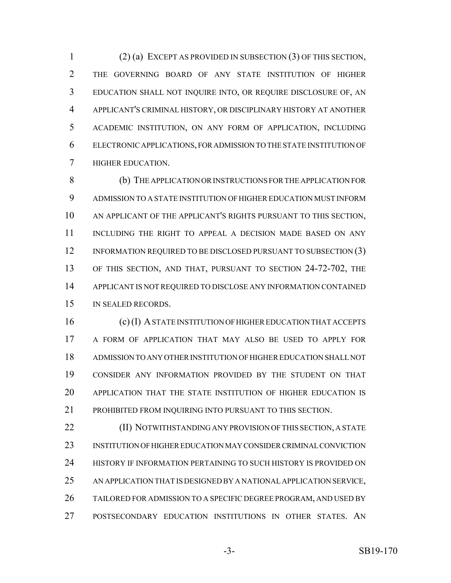(2) (a) EXCEPT AS PROVIDED IN SUBSECTION (3) OF THIS SECTION, THE GOVERNING BOARD OF ANY STATE INSTITUTION OF HIGHER EDUCATION SHALL NOT INQUIRE INTO, OR REQUIRE DISCLOSURE OF, AN APPLICANT'S CRIMINAL HISTORY, OR DISCIPLINARY HISTORY AT ANOTHER ACADEMIC INSTITUTION, ON ANY FORM OF APPLICATION, INCLUDING ELECTRONIC APPLICATIONS, FOR ADMISSION TO THE STATE INSTITUTION OF HIGHER EDUCATION.

 (b) THE APPLICATION OR INSTRUCTIONS FOR THE APPLICATION FOR ADMISSION TO A STATE INSTITUTION OF HIGHER EDUCATION MUST INFORM AN APPLICANT OF THE APPLICANT'S RIGHTS PURSUANT TO THIS SECTION, INCLUDING THE RIGHT TO APPEAL A DECISION MADE BASED ON ANY 12 INFORMATION REQUIRED TO BE DISCLOSED PURSUANT TO SUBSECTION (3) OF THIS SECTION, AND THAT, PURSUANT TO SECTION 24-72-702, THE APPLICANT IS NOT REQUIRED TO DISCLOSE ANY INFORMATION CONTAINED IN SEALED RECORDS.

 (c) (I) A STATE INSTITUTION OF HIGHER EDUCATION THAT ACCEPTS A FORM OF APPLICATION THAT MAY ALSO BE USED TO APPLY FOR ADMISSION TO ANY OTHER INSTITUTION OF HIGHER EDUCATION SHALL NOT CONSIDER ANY INFORMATION PROVIDED BY THE STUDENT ON THAT APPLICATION THAT THE STATE INSTITUTION OF HIGHER EDUCATION IS 21 PROHIBITED FROM INQUIRING INTO PURSUANT TO THIS SECTION.

**(II) NOTWITHSTANDING ANY PROVISION OF THIS SECTION, A STATE**  INSTITUTION OF HIGHER EDUCATION MAY CONSIDER CRIMINAL CONVICTION 24 HISTORY IF INFORMATION PERTAINING TO SUCH HISTORY IS PROVIDED ON AN APPLICATION THAT IS DESIGNED BY A NATIONAL APPLICATION SERVICE, TAILORED FOR ADMISSION TO A SPECIFIC DEGREE PROGRAM, AND USED BY POSTSECONDARY EDUCATION INSTITUTIONS IN OTHER STATES. AN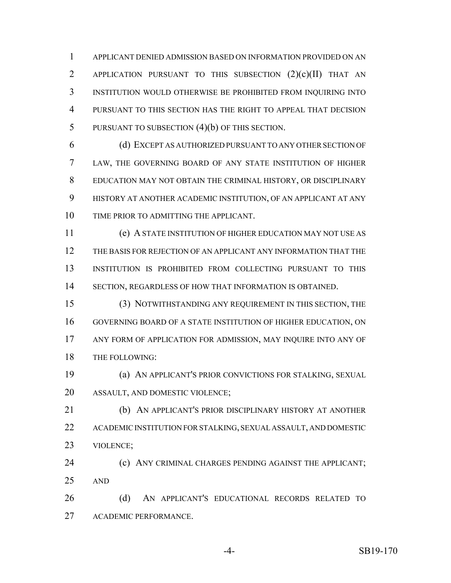APPLICANT DENIED ADMISSION BASED ON INFORMATION PROVIDED ON AN APPLICATION PURSUANT TO THIS SUBSECTION (2)(c)(II) THAT AN INSTITUTION WOULD OTHERWISE BE PROHIBITED FROM INQUIRING INTO PURSUANT TO THIS SECTION HAS THE RIGHT TO APPEAL THAT DECISION PURSUANT TO SUBSECTION (4)(b) OF THIS SECTION.

 (d) EXCEPT AS AUTHORIZED PURSUANT TO ANY OTHER SECTION OF LAW, THE GOVERNING BOARD OF ANY STATE INSTITUTION OF HIGHER EDUCATION MAY NOT OBTAIN THE CRIMINAL HISTORY, OR DISCIPLINARY HISTORY AT ANOTHER ACADEMIC INSTITUTION, OF AN APPLICANT AT ANY TIME PRIOR TO ADMITTING THE APPLICANT.

 (e) A STATE INSTITUTION OF HIGHER EDUCATION MAY NOT USE AS THE BASIS FOR REJECTION OF AN APPLICANT ANY INFORMATION THAT THE INSTITUTION IS PROHIBITED FROM COLLECTING PURSUANT TO THIS SECTION, REGARDLESS OF HOW THAT INFORMATION IS OBTAINED.

 (3) NOTWITHSTANDING ANY REQUIREMENT IN THIS SECTION, THE GOVERNING BOARD OF A STATE INSTITUTION OF HIGHER EDUCATION, ON ANY FORM OF APPLICATION FOR ADMISSION, MAY INQUIRE INTO ANY OF THE FOLLOWING:

 (a) AN APPLICANT'S PRIOR CONVICTIONS FOR STALKING, SEXUAL ASSAULT, AND DOMESTIC VIOLENCE;

 (b) AN APPLICANT'S PRIOR DISCIPLINARY HISTORY AT ANOTHER ACADEMIC INSTITUTION FOR STALKING, SEXUAL ASSAULT, AND DOMESTIC VIOLENCE;

**(c) ANY CRIMINAL CHARGES PENDING AGAINST THE APPLICANT;** AND

 (d) AN APPLICANT'S EDUCATIONAL RECORDS RELATED TO ACADEMIC PERFORMANCE.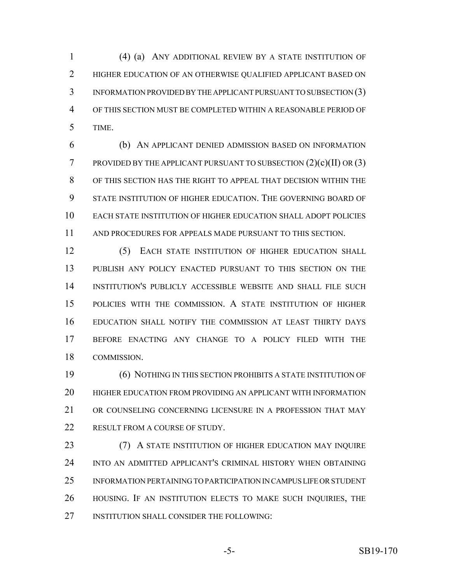(4) (a) ANY ADDITIONAL REVIEW BY A STATE INSTITUTION OF HIGHER EDUCATION OF AN OTHERWISE QUALIFIED APPLICANT BASED ON INFORMATION PROVIDED BY THE APPLICANT PURSUANT TO SUBSECTION (3) OF THIS SECTION MUST BE COMPLETED WITHIN A REASONABLE PERIOD OF TIME.

 (b) AN APPLICANT DENIED ADMISSION BASED ON INFORMATION **PROVIDED BY THE APPLICANT PURSUANT TO SUBSECTION**  $(2)(c)(II)$  **OR**  $(3)$  OF THIS SECTION HAS THE RIGHT TO APPEAL THAT DECISION WITHIN THE STATE INSTITUTION OF HIGHER EDUCATION. THE GOVERNING BOARD OF EACH STATE INSTITUTION OF HIGHER EDUCATION SHALL ADOPT POLICIES AND PROCEDURES FOR APPEALS MADE PURSUANT TO THIS SECTION.

12 (5) EACH STATE INSTITUTION OF HIGHER EDUCATION SHALL PUBLISH ANY POLICY ENACTED PURSUANT TO THIS SECTION ON THE INSTITUTION'S PUBLICLY ACCESSIBLE WEBSITE AND SHALL FILE SUCH POLICIES WITH THE COMMISSION. A STATE INSTITUTION OF HIGHER EDUCATION SHALL NOTIFY THE COMMISSION AT LEAST THIRTY DAYS BEFORE ENACTING ANY CHANGE TO A POLICY FILED WITH THE COMMISSION.

 (6) NOTHING IN THIS SECTION PROHIBITS A STATE INSTITUTION OF HIGHER EDUCATION FROM PROVIDING AN APPLICANT WITH INFORMATION OR COUNSELING CONCERNING LICENSURE IN A PROFESSION THAT MAY 22 RESULT FROM A COURSE OF STUDY.

**(7) A STATE INSTITUTION OF HIGHER EDUCATION MAY INQUIRE**  INTO AN ADMITTED APPLICANT'S CRIMINAL HISTORY WHEN OBTAINING INFORMATION PERTAINING TO PARTICIPATION IN CAMPUS LIFE OR STUDENT HOUSING. IF AN INSTITUTION ELECTS TO MAKE SUCH INQUIRIES, THE 27 INSTITUTION SHALL CONSIDER THE FOLLOWING: